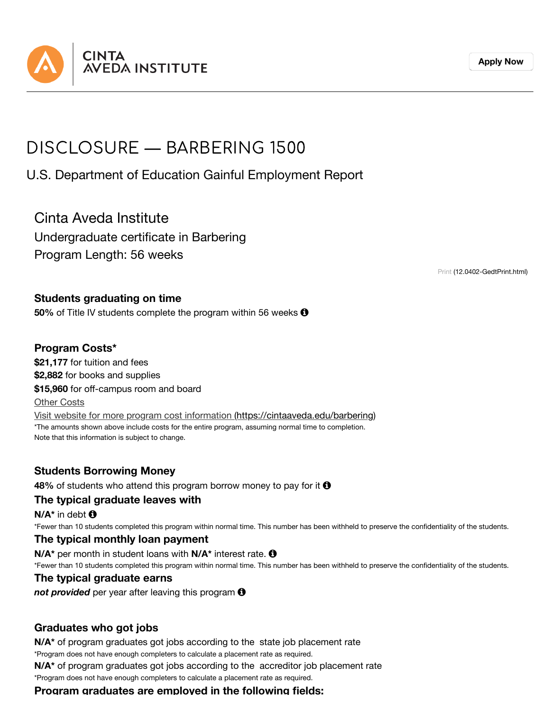

# DISCLOSURE — BARBERING 1500

U.S. Department of Education Gainful Employment Report

Cinta Aveda Institute

Undergraduate certificate in Barbering Program Length: 56 weeks

Print [\(12.0402-GedtPrint.html\)](https://cintaaveda.edu/disclosures-ge/barbering-1500/12.0402-GedtPrint.html)

#### **Students graduating on time**

**50%** of Title IV students complete the program within 56 weeks  $\Theta$ 

### **Program Costs\***

**\$21,177** for tuition and fees **\$2,882** for books and supplies **\$15,960** for off-campus room and board Other Costs Visit website for more program cost information [\(https://cintaaveda.edu/barbering\)](https://cintaaveda.edu/barbering) \*The amounts shown above include costs for the entire program, assuming normal time to completion. Note that this information is subject to change.

## **Students Borrowing Money**

**48%** of students who attend this program borrow money to pay for it **0** 

#### **The typical graduate leaves with**

**N/A\*** in debt

\*Fewer than 10 students completed this program within normal time. This number has been withheld to preserve the confidentiality of the students.

#### **The typical monthly loan payment**

**N/A\*** per month in student loans with **N/A\*** interest rate. \*Fewer than 10 students completed this program within normal time. This number has been withheld to preserve the confidentiality of the students.

#### **The typical graduate earns**

*not provided* per year after leaving this program

#### **Graduates who got jobs**

\*Program does not have enough completers to calculate a placement rate as required. **N/A\*** of program graduates got jobs according to the state job placement rate

**N/A\*** of program graduates got jobs according to the accreditor job placement rate

\*Program does not have enough completers to calculate a placement rate as required.

**Program graduates are employed in the following fields:**

**[Apply](https://cintaaveda.edu/admission-application) Now**